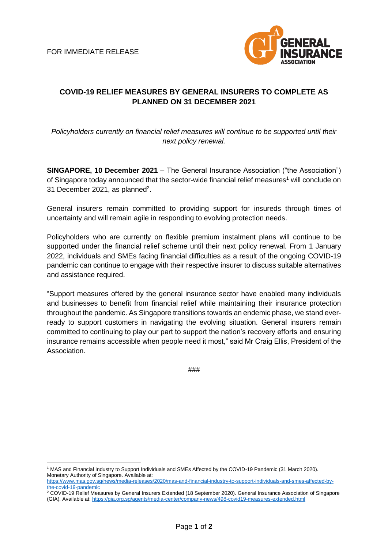

## **COVID-19 RELIEF MEASURES BY GENERAL INSURERS TO COMPLETE AS PLANNED ON 31 DECEMBER 2021**

*Policyholders currently on financial relief measures will continue to be supported until their next policy renewal.*

**SINGAPORE, 10 December 2021** – The General Insurance Association ("the Association") of Singapore today announced that the sector-wide financial relief measures<sup>1</sup> will conclude on 31 December 2021, as planned<sup>2</sup>.

General insurers remain committed to providing support for insureds through times of uncertainty and will remain agile in responding to evolving protection needs.

Policyholders who are currently on flexible premium instalment plans will continue to be supported under the financial relief scheme until their next policy renewal. From 1 January 2022, individuals and SMEs facing financial difficulties as a result of the ongoing COVID-19 pandemic can continue to engage with their respective insurer to discuss suitable alternatives and assistance required.

"Support measures offered by the general insurance sector have enabled many individuals and businesses to benefit from financial relief while maintaining their insurance protection throughout the pandemic. As Singapore transitions towards an endemic phase, we stand everready to support customers in navigating the evolving situation. General insurers remain committed to continuing to play our part to support the nation's recovery efforts and ensuring insurance remains accessible when people need it most," said Mr Craig Ellis, President of the Association.

###

<sup>1</sup> MAS and Financial Industry to Support Individuals and SMEs Affected by the COVID-19 Pandemic (31 March 2020). Monetary Authority of Singapore. Available at:

[https://www.mas.gov.sg/news/media-releases/2020/mas-and-financial-industry-to-support-individuals-and-smes-affected-by](https://www.mas.gov.sg/news/media-releases/2020/mas-and-financial-industry-to-support-individuals-and-smes-affected-by-the-covid-19-pandemic)[the-covid-19-pandemic](https://www.mas.gov.sg/news/media-releases/2020/mas-and-financial-industry-to-support-individuals-and-smes-affected-by-the-covid-19-pandemic)

<sup>&</sup>lt;sup>2</sup> COVID-19 Relief Measures by General Insurers Extended (18 September 2020). General Insurance Association of Singapore (GIA). Available at[: https://gia.org.sg/agents/media-center/company-news/498-covid19-measures-extended.html](https://gia.org.sg/agents/media-center/company-news/498-covid19-measures-extended.html)